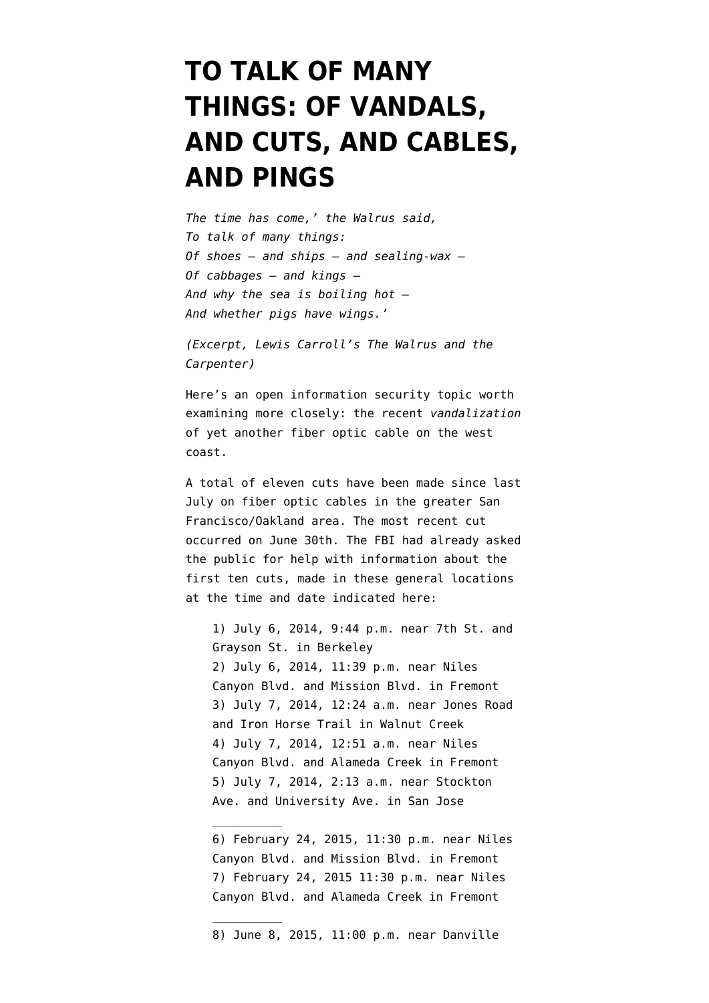## **[TO TALK OF MANY](https://www.emptywheel.net/2015/07/03/to-talk-of-many-things-of-vandals-and-cuts-and-cables-and-pings/) [THINGS: OF VANDALS,](https://www.emptywheel.net/2015/07/03/to-talk-of-many-things-of-vandals-and-cuts-and-cables-and-pings/) [AND CUTS, AND CABLES,](https://www.emptywheel.net/2015/07/03/to-talk-of-many-things-of-vandals-and-cuts-and-cables-and-pings/) [AND PINGS](https://www.emptywheel.net/2015/07/03/to-talk-of-many-things-of-vandals-and-cuts-and-cables-and-pings/)**

*The time has come,' the Walrus said, To talk of many things: Of shoes — and ships — and sealing-wax — Of cabbages — and kings — And why the sea is boiling hot — And whether pigs have wings.'*

*(Excerpt, Lewis Carroll's [The Walrus and the](http://www.poetryfoundation.org/poem/173170) [Carpenter\)](http://www.poetryfoundation.org/poem/173170)*

Here's an open information security topic worth examining more closely: the [recent](http://www.latimes.com/local/lanow/la-me-ln-sacramento-cables-vandalized-20150630-story.html) *[vandalization](http://www.latimes.com/local/lanow/la-me-ln-sacramento-cables-vandalized-20150630-story.html)* [of yet another fiber optic cable](http://www.latimes.com/local/lanow/la-me-ln-sacramento-cables-vandalized-20150630-story.html) on the west coast.

A total of eleven cuts have been made since last July on fiber optic cables in the greater San Francisco/Oakland area. The most recent cut occurred on June 30th. The FBI had already asked the public for help with information about the first ten cuts, made in these general locations at the time and date indicated here:

1) July 6, 2014, 9:44 p.m. near 7th St. and Grayson St. in Berkeley 2) July 6, 2014, 11:39 p.m. near Niles Canyon Blvd. and Mission Blvd. in Fremont 3) July 7, 2014, 12:24 a.m. near Jones Road and Iron Horse Trail in Walnut Creek 4) July 7, 2014, 12:51 a.m. near Niles Canyon Blvd. and Alameda Creek in Fremont 5) July 7, 2014, 2:13 a.m. near Stockton Ave. and University Ave. in San Jose

 $\overline{\phantom{a}}$ 

 $\overline{\phantom{a}}$ 

8) June 8, 2015, 11:00 p.m. near Danville

<sup>6)</sup> February 24, 2015, 11:30 p.m. near Niles Canyon Blvd. and Mission Blvd. in Fremont 7) February 24, 2015 11:30 p.m. near Niles Canyon Blvd. and Alameda Creek in Fremont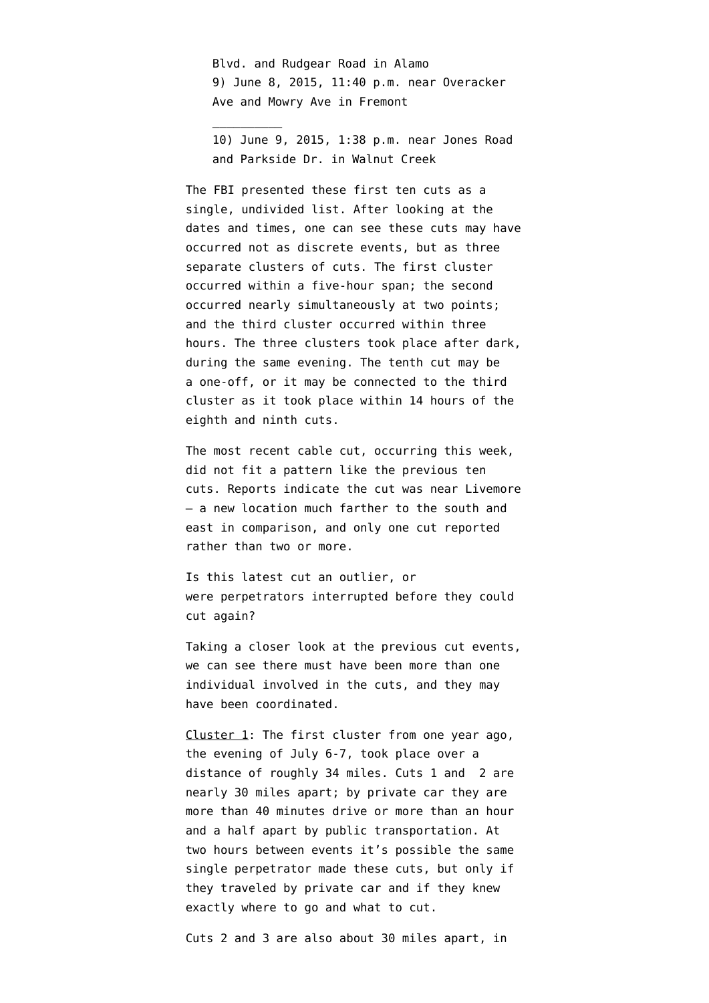Blvd. and Rudgear Road in Alamo 9) June 8, 2015, 11:40 p.m. near Overacker Ave and Mowry Ave in Fremont

 $\overline{\phantom{a}}$ 

10) June 9, 2015, 1:38 p.m. near Jones Road and Parkside Dr. in Walnut Creek

The FBI presented these first ten cuts as [a](https://www.fbi.gov/sanfrancisco/press-releases/2015/fbi-and-local-law-enforcement-seek-publics-assistance-concerning-severed-fiber-optic-cables-in-the-east-bay-and-south-bay) [single, undivided list](https://www.fbi.gov/sanfrancisco/press-releases/2015/fbi-and-local-law-enforcement-seek-publics-assistance-concerning-severed-fiber-optic-cables-in-the-east-bay-and-south-bay). After looking at the dates and times, one can see these cuts may have occurred not as discrete events, but as three separate clusters of cuts. The first cluster occurred within a five-hour span; the second occurred nearly simultaneously at two points; and the third cluster occurred within three hours. The three clusters took place after dark, during the same evening. The tenth cut may be a one-off, or it may be connected to the third cluster as it took place within 14 hours of the eighth and ninth cuts.

The most recent cable cut, occurring this week, did not fit a pattern like the previous ten cuts. Reports indicate the cut was near Livemore — a new location much farther to the south and east in comparison, and only one cut reported rather than two or more.

Is this latest cut an outlier, or were perpetrators interrupted before they could cut again?

Taking a closer look at the previous cut events, we can see there must have been more than one individual involved in the cuts, and they may have been coordinated.

Cluster 1: The first cluster from one year ago, the evening of July 6-7, took place over a distance of roughly 34 miles. Cuts 1 and 2 are nearly 30 miles apart; by private car they are more than 40 minutes drive or more than an hour and a half apart by public transportation. At two hours between events it's possible the same single perpetrator made these cuts, but only if they traveled by private car and if they knew exactly where to go and what to cut.

Cuts 2 and 3 are also about 30 miles apart, in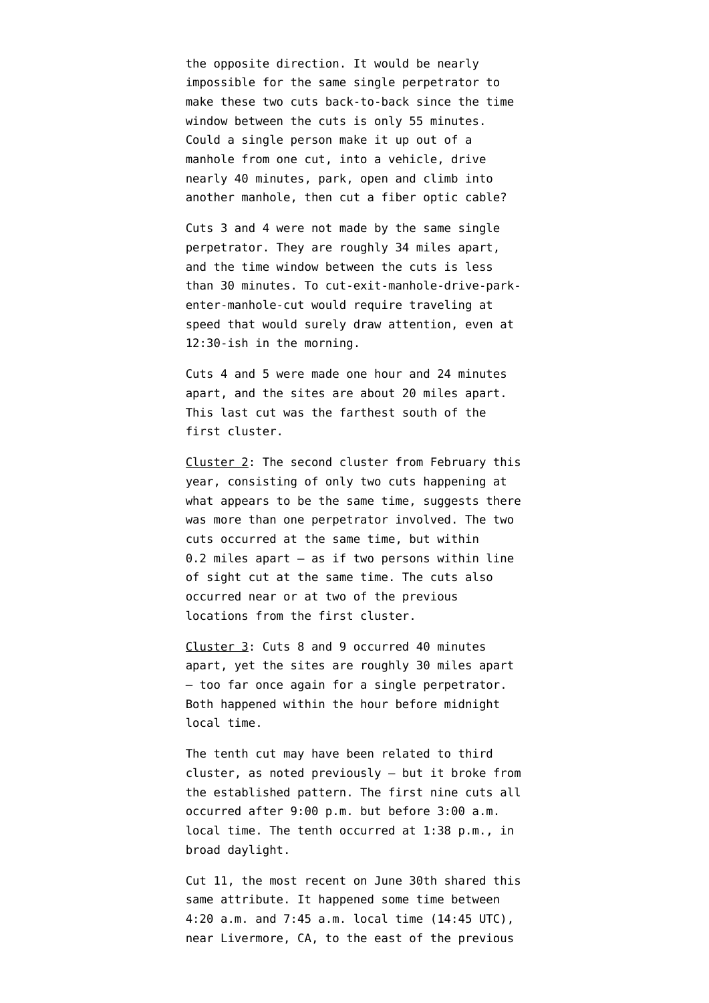the opposite direction. It would be nearly impossible for the same single perpetrator to make these two cuts back-to-back since the time window between the cuts is only 55 minutes. Could a single person make it up out of a manhole from one cut, into a vehicle, drive nearly 40 minutes, park, open and climb into another manhole, then cut a fiber optic cable?

Cuts 3 and 4 were not made by the same single perpetrator. They are roughly 34 miles apart, and the time window between the cuts is less than 30 minutes. To cut-exit-manhole-drive-parkenter-manhole-cut would require traveling at speed that would surely draw attention, even at 12:30-ish in the morning.

Cuts 4 and 5 were made one hour and 24 minutes apart, and the sites are about 20 miles apart. This last cut was the farthest south of the first cluster.

Cluster 2: The second cluster from February this year, consisting of only two cuts happening at what appears to be the same time, suggests there was more than one perpetrator involved. The two cuts occurred at the same time, but within 0.2 miles apart — as if two persons within line of sight cut at the same time. The cuts also occurred near or at two of the previous locations from the first cluster.

Cluster 3: Cuts 8 and 9 occurred 40 minutes apart, yet the sites are roughly 30 miles apart — too far once again for a single perpetrator. Both happened within the hour before midnight local time.

The tenth cut may have been related to third cluster, as noted previously — but it broke from the established pattern. The first nine cuts all occurred after 9:00 p.m. but before 3:00 a.m. local time. The tenth occurred at 1:38 p.m., in broad daylight.

Cut 11, the most recent on June 30th shared this same attribute. It happened some time [between](https://www.techwire.net/fbi-investigating-vandalism-at-bay-area-fiber-optic-cables/) [4:20 a.m.](https://www.techwire.net/fbi-investigating-vandalism-at-bay-area-fiber-optic-cables/) and 7:45 a.m. local time (14:45 UTC), near Livermore, CA, to the east of the previous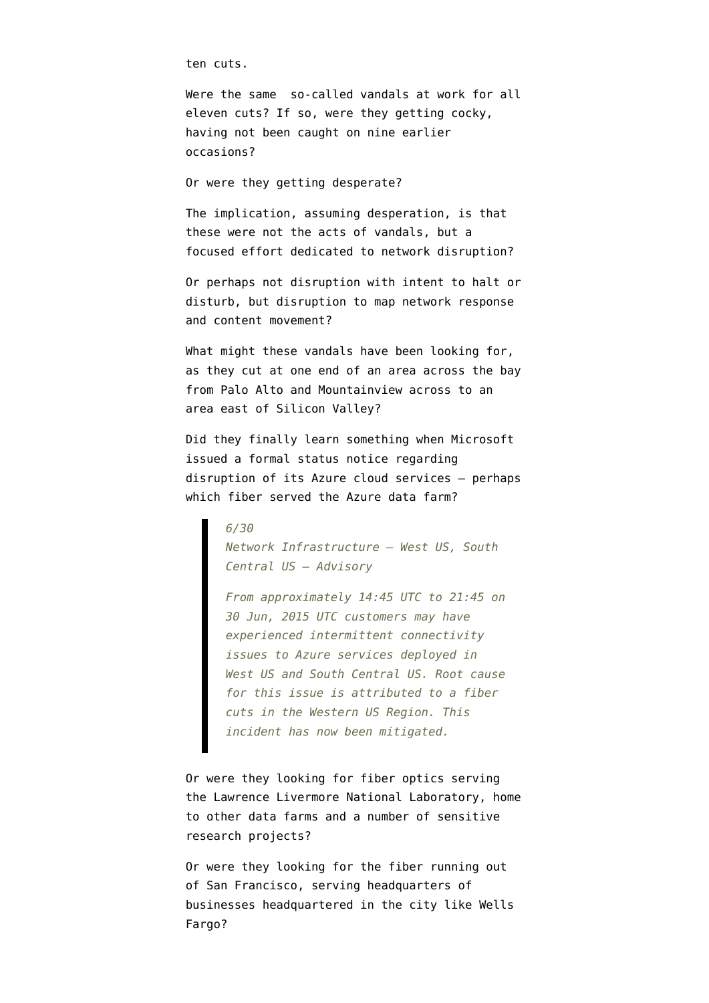ten cuts.

Were the same so-called vandals at work for all eleven cuts? If so, were they getting cocky, having not been caught on nine earlier occasions?

Or were they getting desperate?

The implication, assuming desperation, is that these were not the acts of vandals, but a focused effort dedicated to network disruption?

Or perhaps not disruption with intent to halt or disturb, but disruption to map network response and content movement?

What might these vandals have been looking for, as they cut at one end of an area across the bay from Palo Alto and Mountainview across to an area east of Silicon Valley?

Did they finally learn something when Microsoft issued a [formal status notice](https://azure.microsoft.com/en-us/status/#history) regarding disruption of its Azure cloud services — perhaps which fiber served the Azure data farm?

> *6/30 Network Infrastructure – West US, South Central US – Advisory*

*From approximately 14:45 UTC to 21:45 on 30 Jun, 2015 UTC customers may have experienced intermittent connectivity issues to Azure services deployed in West US and South Central US. Root cause for this issue is attributed to a fiber cuts in the Western US Region. This incident has now been mitigated.*

Or were they looking for fiber optics serving the Lawrence Livermore National Laboratory, home to other data farms and a number of sensitive research projects?

Or were they looking for the fiber running out of San Francisco, serving headquarters of businesses headquartered in the city like Wells Fargo?